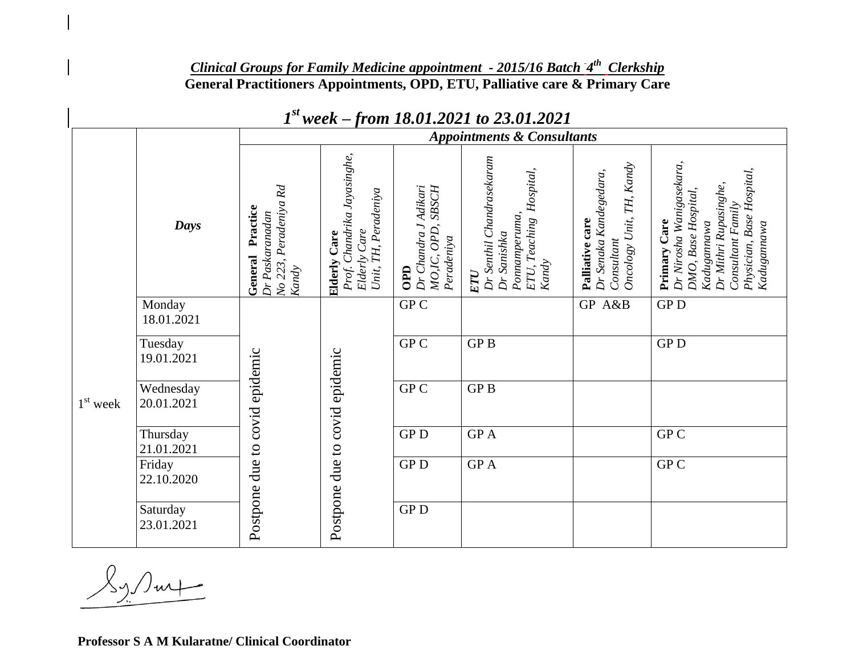## *Clinical Groups for Family Medicine appointment - 2015/16 Batch 4 th Clerkship* **General Practitioners Appointments, OPD, ETU, Palliative care & Primary Care**

|            |                         | <b>Appointments &amp; Consultants</b>                                           |                                                                                            |                                                                   |                                                                                                        |                                                                                    |                                                                                                                                                                          |
|------------|-------------------------|---------------------------------------------------------------------------------|--------------------------------------------------------------------------------------------|-------------------------------------------------------------------|--------------------------------------------------------------------------------------------------------|------------------------------------------------------------------------------------|--------------------------------------------------------------------------------------------------------------------------------------------------------------------------|
|            | <b>Days</b>             | No 223, Peradeniya Rd<br>Practice<br>Dr Paskaranadan<br>General<br><b>Kandy</b> | Prof. Chandrika Jayasinghe,<br>Unit, TH, Peradeniya<br>Elderly Care<br><b>Elderly Care</b> | Dr Chandra J Adikari<br>OPD, SBSCH<br>Peradeniya<br>MO, IC<br>OPD | Dr Senthil Chandrasekaram<br>Hospital,<br>Pomamperuma,<br>ETU, Teaching<br>Dr Sanishka<br>Kandy<br>ETU | Oncology Unit, TH, Kandy<br>Dr Senaka Kandegedara,<br>Palliative care<br>Consultan | Dr Nirosha Wanigasekara,<br>Physician, Base Hospital,<br>Dr Mithri Rupasinghe,<br>DMO, Base Hospital,<br>Consultant Family<br>Primary Care<br>Kadugannawa<br>Kadugannawa |
| $1st$ week | Monday<br>18.01.2021    | Postpone due to covid epidemic                                                  | Postpone due to covid epidemic                                                             | GPC                                                               |                                                                                                        | <b>GP</b><br>A&B                                                                   | GP <sub>D</sub>                                                                                                                                                          |
|            | Tuesday<br>19.01.2021   |                                                                                 |                                                                                            | $\overline{GPC}$                                                  | <b>GPB</b>                                                                                             |                                                                                    | GP <sub>D</sub>                                                                                                                                                          |
|            | Wednesday<br>20.01.2021 |                                                                                 |                                                                                            | GP C                                                              | GP <sub>B</sub>                                                                                        |                                                                                    |                                                                                                                                                                          |
|            | Thursday<br>21.01.2021  |                                                                                 |                                                                                            | ${\rm GP}\, {\rm D}$                                              | GP A                                                                                                   |                                                                                    | ${\rm GP\,}{\rm C}$                                                                                                                                                      |
|            | Friday<br>22.10.2020    |                                                                                 |                                                                                            | <b>GPD</b>                                                        | GP A                                                                                                   |                                                                                    | ${\rm GP\,}{\rm C}$                                                                                                                                                      |
|            | Saturday<br>23.01.2021  |                                                                                 |                                                                                            | ${\rm GP}\, {\rm D}$                                              |                                                                                                        |                                                                                    |                                                                                                                                                                          |

## *1 st week – from 18.01.2021 to 23.01.2021*

**Professor S A M Kularatne/ Clinical Coordinator**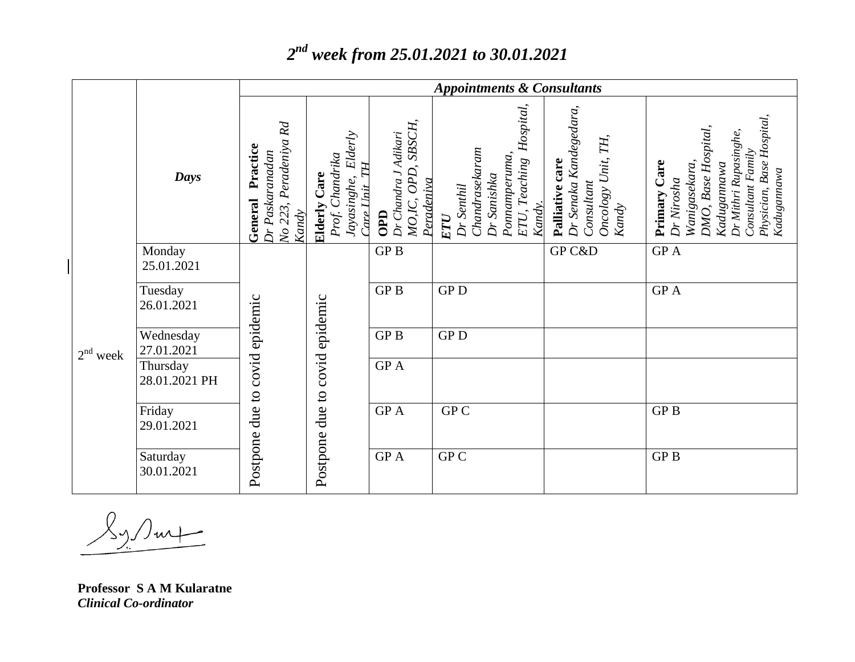## *2 nd week from 25.01.2021 to 30.01.2021*

|            | Days                      | Peradeniya Rd<br>Practice<br>Dr Paskaranadan<br>General<br>No 223,<br>Kandy | Elderly<br>Prof. Chandrika<br>TН<br><b>Elderly Care</b><br>Jayasinghe,<br>Care L'hit | MO,IC, OPD, SBSCH,<br>Dr Chandra J Adikari<br>Peradeniva<br>OPD | Hospital,<br>Dr Senaka Kandegedara,<br>TH,<br>Chandrasekaram<br>Ponnamperuma,<br>Oncology Unit,<br>ETU, Teaching<br>Palliative care<br>Dr Sanishka<br>Consultant<br>Dr Senthil<br>Kandy.<br>Kandy<br>ETU | Physician, Base Hospital,<br>DMO, Base Hospital,<br>Dr Mithri Rupasinghe,<br>Consultant Family<br>Wanigasekara,<br>Primary Care<br>Kadugannawa<br>Kadugannawa<br>Dr Nirosha |
|------------|---------------------------|-----------------------------------------------------------------------------|--------------------------------------------------------------------------------------|-----------------------------------------------------------------|----------------------------------------------------------------------------------------------------------------------------------------------------------------------------------------------------------|-----------------------------------------------------------------------------------------------------------------------------------------------------------------------------|
| $2nd$ week | Monday<br>25.01.2021      | Postpone due to covid epidemic                                              | Postpone due to covid epidemic                                                       | GP <sub>B</sub>                                                 | GP C&D                                                                                                                                                                                                   | ${\rm GP}$ A                                                                                                                                                                |
|            | Tuesday<br>26.01.2021     |                                                                             |                                                                                      | <b>GPB</b>                                                      | <b>GPD</b>                                                                                                                                                                                               | GP A                                                                                                                                                                        |
|            | Wednesday<br>27.01.2021   |                                                                             |                                                                                      | <b>GPB</b>                                                      | <b>GPD</b>                                                                                                                                                                                               |                                                                                                                                                                             |
|            | Thursday<br>28.01.2021 PH |                                                                             |                                                                                      | GP A                                                            |                                                                                                                                                                                                          |                                                                                                                                                                             |
|            | Friday<br>29.01.2021      |                                                                             |                                                                                      | <b>GPA</b>                                                      | GP C                                                                                                                                                                                                     | GP <sub>B</sub>                                                                                                                                                             |
|            | Saturday<br>30.01.2021    |                                                                             |                                                                                      | GP A                                                            | GP C                                                                                                                                                                                                     | <b>GPB</b>                                                                                                                                                                  |

Tur

**Professor S A M Kularatne** *Clinical Co-ordinator*